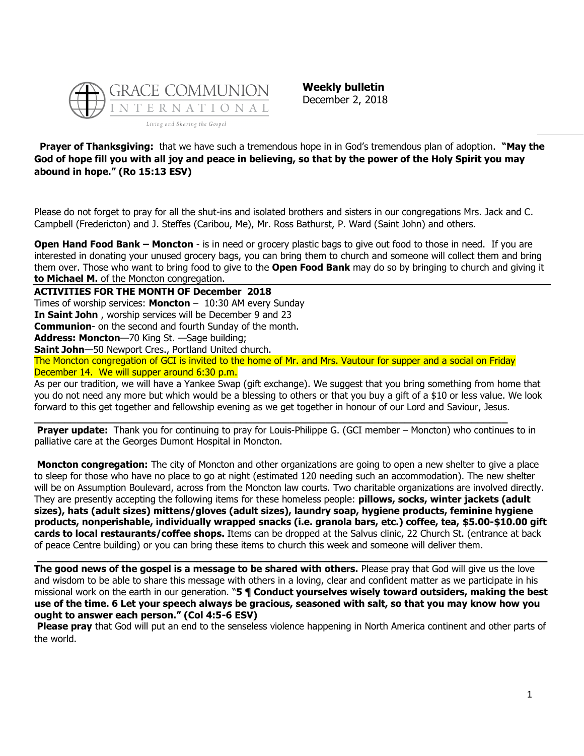

**Weekly bulletin** December 2, 2018

**Prayer of Thanksgiving:** that we have such a tremendous hope in in God's tremendous plan of adoption. **"May the God of hope fill you with all joy and peace in believing, so that by the power of the Holy Spirit you may abound in hope." (Ro 15:13 ESV)**

Please do not forget to pray for all the shut-ins and isolated brothers and sisters in our congregations Mrs. Jack and C. Campbell (Fredericton) and J. Steffes (Caribou, Me), Mr. Ross Bathurst, P. Ward (Saint John) and others.

**Open Hand Food Bank – Moncton** - is in need or grocery plastic bags to give out food to those in need. If you are interested in donating your unused grocery bags, you can bring them to church and someone will collect them and bring them over. Those who want to bring food to give to the **Open Food Bank** may do so by bringing to church and giving it **to Michael M.** of the Moncton congregation.

**ACTIVITIES FOR THE MONTH OF December 2018**

Times of worship services: **Moncton** – 10:30 AM every Sunday

**In Saint John** , worship services will be December 9 and 23

**Communion**- on the second and fourth Sunday of the month.

**Address: Moncton**—70 King St. —Sage building;

**Saint John**—50 Newport Cres., Portland United church.

The Moncton congregation of GCI is invited to the home of Mr. and Mrs. Vautour for supper and a social on Friday December 14. We will supper around 6:30 p.m.

**\_\_\_\_\_\_\_\_\_\_\_\_\_\_\_\_\_\_\_\_\_\_\_\_\_\_\_\_\_\_\_\_\_\_\_\_\_\_\_\_\_\_\_\_\_\_\_\_\_\_\_\_\_\_\_\_\_\_\_\_\_\_\_\_\_\_\_\_\_\_\_\_\_\_\_\_\_\_**

As per our tradition, we will have a Yankee Swap (gift exchange). We suggest that you bring something from home that you do not need any more but which would be a blessing to others or that you buy a gift of a \$10 or less value. We look forward to this get together and fellowship evening as we get together in honour of our Lord and Saviour, Jesus.

**Prayer update:** Thank you for continuing to pray for Louis-Philippe G. (GCI member – Moncton) who continues to in palliative care at the Georges Dumont Hospital in Moncton.

**Moncton congregation:** The city of Moncton and other organizations are going to open a new shelter to give a place to sleep for those who have no place to go at night (estimated 120 needing such an accommodation). The new shelter will be on Assumption Boulevard, across from the Moncton law courts. Two charitable organizations are involved directly. They are presently accepting the following items for these homeless people: **pillows, socks, winter jackets (adult sizes), hats (adult sizes) mittens/gloves (adult sizes), laundry soap, hygiene products, feminine hygiene products, nonperishable, individually wrapped snacks (i.e. granola bars, etc.) coffee, tea, \$5.00-\$10.00 gift cards to local restaurants/coffee shops.** Items can be dropped at the Salvus clinic, 22 Church St. (entrance at back of peace Centre building) or you can bring these items to church this week and someone will deliver them.

**The good news of the gospel is a message to be shared with others.** Please pray that God will give us the love and wisdom to be able to share this message with others in a loving, clear and confident matter as we participate in his missional work on the earth in our generation. "**5 ¶ Conduct yourselves wisely toward outsiders, making the best use of the time. 6 Let your speech always be gracious, seasoned with salt, so that you may know how you ought to answer each person." (Col 4:5-6 ESV)**

**\_\_\_\_\_\_\_\_\_\_\_\_\_\_\_\_\_\_\_\_\_\_\_\_\_\_\_\_\_\_\_\_\_\_\_\_\_\_\_\_\_\_\_\_\_\_\_\_\_\_\_\_\_\_\_\_\_\_\_\_\_\_\_\_\_\_\_\_\_\_\_\_\_\_\_\_\_\_\_\_**

**Please pray** that God will put an end to the senseless violence happening in North America continent and other parts of the world.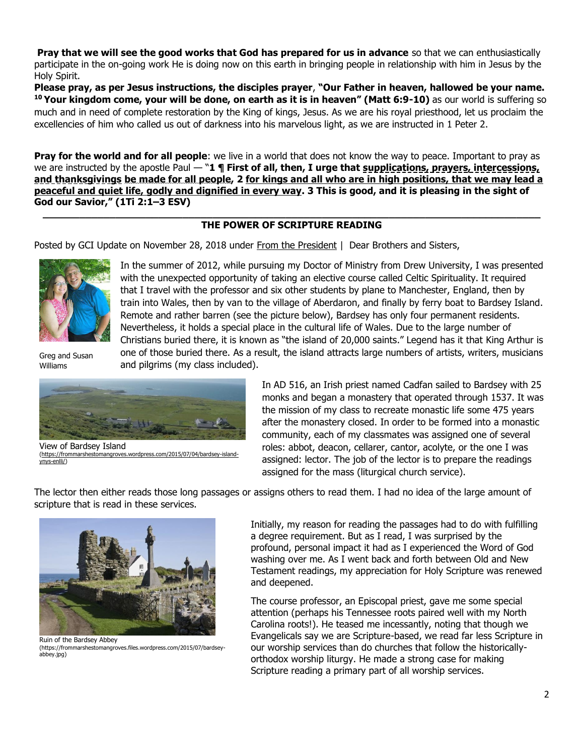**Pray that we will see the good works that God has prepared for us in advance** so that we can enthusiastically participate in the on-going work He is doing now on this earth in bringing people in relationship with him in Jesus by the Holy Spirit.

**Please pray, as per Jesus instructions, the disciples prayer**, **"Our Father in heaven, hallowed be your name. <sup>10</sup> Your kingdom come, your will be done, on earth as it is in heaven" (Matt 6:9-10)** as our world is suffering so much and in need of complete restoration by the King of kings, Jesus. As we are his royal priesthood, let us proclaim the excellencies of him who called us out of darkness into his marvelous light, as we are instructed in 1 Peter 2.

**Pray for the world and for all people**: we live in a world that does not know the way to peace. Important to pray as we are instructed by the apostle Paul  $-$  "1 **¶ First of all, then, I urge that supplications, prayers, intercessions, and thanksgivings be made for all people, 2 for kings and all who are in high positions, that we may lead a peaceful and quiet life, godly and dignified in every way. 3 This is good, and it is pleasing in the sight of God our Savior," (1Ti 2:1–3 ESV)**

## **\_\_\_\_\_\_\_\_\_\_\_\_\_\_\_\_\_\_\_\_\_\_\_\_\_\_\_\_\_\_\_\_\_\_\_\_\_\_\_\_\_\_\_\_\_\_\_\_\_\_\_\_\_\_\_\_\_\_\_\_\_\_\_\_\_\_\_\_\_\_\_\_\_\_\_\_\_\_\_\_\_\_ [THE POWER OF SCRIPTURE READING](https://update.gci.org/2018/11/the-power-of-scripture-reading/)**

Posted by GCI Update on November 28, 2018 under [From the President](https://update.gci.org/category/president/) | Dear Brothers and Sisters,



In the summer of 2012, while pursuing my Doctor of Ministry from Drew University, I was presented with the unexpected opportunity of taking an elective course called Celtic Spirituality. It required that I travel with the professor and six other students by plane to Manchester, England, then by train into Wales, then by van to the village of Aberdaron, and finally by ferry boat to Bardsey Island. Remote and rather barren (see the picture below), Bardsey has only four permanent residents. Nevertheless, it holds a special place in the cultural life of Wales. Due to the large number of Christians buried there, it is known as "the island of 20,000 saints." Legend has it that King Arthur is one of those buried there. As a result, the island attracts large numbers of artists, writers, musicians and pilgrims (my class included).

Greg and Susan Williams



View of Bardsey Island [\(https://frommarshestomangroves.wordpress.com/2015/07/04/bardsey-island](https://frommarshestomangroves.wordpress.com/2015/07/04/bardsey-island-ynys-enlli/)[ynys-enlli/\)](https://frommarshestomangroves.wordpress.com/2015/07/04/bardsey-island-ynys-enlli/) 

In AD 516, an Irish priest named Cadfan sailed to Bardsey with 25 monks and began a monastery that operated through 1537. It was the mission of my class to recreate monastic life some 475 years after the monastery closed. In order to be formed into a monastic community, each of my classmates was assigned one of several roles: abbot, deacon, cellarer, cantor, acolyte, or the one I was assigned: lector. The job of the lector is to prepare the readings assigned for the mass (liturgical church service).

The lector then either reads those long passages or assigns others to read them. I had no idea of the large amount of scripture that is read in these services.



Ruin of the Bardsey Abbey (https://frommarshestomangroves.files.wordpress.com/2015/07/bardseyabbey.jpg)

Initially, my reason for reading the passages had to do with fulfilling a degree requirement. But as I read, I was surprised by the profound, personal impact it had as I experienced the Word of God washing over me. As I went back and forth between Old and New Testament readings, my appreciation for Holy Scripture was renewed and deepened.

The course professor, an Episcopal priest, gave me some special attention (perhaps his Tennessee roots paired well with my North Carolina roots!). He teased me incessantly, noting that though we Evangelicals say we are Scripture-based, we read far less Scripture in our worship services than do churches that follow the historicallyorthodox worship liturgy. He made a strong case for making Scripture reading a primary part of all worship services.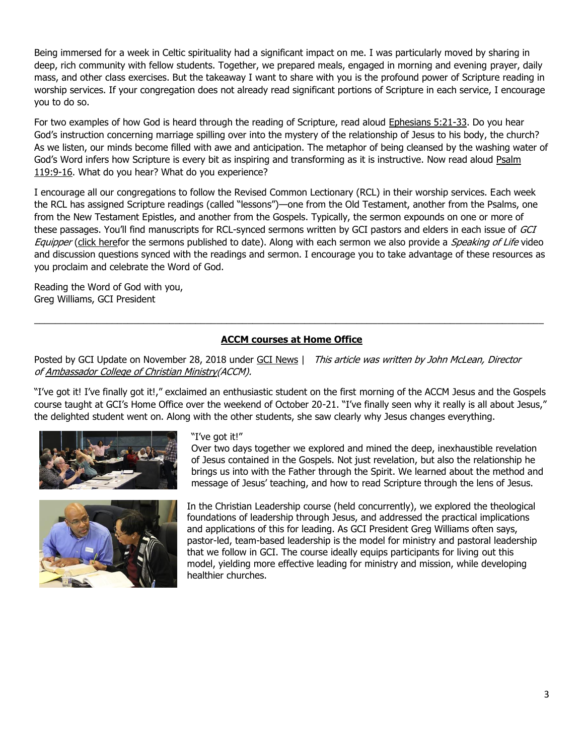Being immersed for a week in Celtic spirituality had a significant impact on me. I was particularly moved by sharing in deep, rich community with fellow students. Together, we prepared meals, engaged in morning and evening prayer, daily mass, and other class exercises. But the takeaway I want to share with you is the profound power of Scripture reading in worship services. If your congregation does not already read significant portions of Scripture in each service, I encourage you to do so.

For two examples of how God is heard through the reading of Scripture, read aloud [Ephesians 5:21-33.](https://biblia.com/bible/niv/Eph%205.21-33) Do you hear God's instruction concerning marriage spilling over into the mystery of the relationship of Jesus to his body, the church? As we listen, our minds become filled with awe and anticipation. The metaphor of being cleansed by the washing water of God's Word infers how Scripture is every bit as inspiring and transforming as it is instructive. Now read aloud [Psalm](https://biblia.com/bible/niv/Ps%20119.9-16)  [119:9-16.](https://biblia.com/bible/niv/Ps%20119.9-16) What do you hear? What do you experience?

I encourage all our congregations to follow the Revised Common Lectionary (RCL) in their worship services. Each week the RCL has assigned Scripture readings (called "lessons")—one from the Old Testament, another from the Psalms, one from the New Testament Epistles, and another from the Gospels. Typically, the sermon expounds on one or more of these passages. You'll find manuscripts for RCL-synced sermons written by GCI pastors and elders in each issue of GCI Equipper [\(click heref](https://equipper.gci.org/?s=sermon+for)or the sermons published to date). Along with each sermon we also provide a *Speaking of Life* video and discussion questions synced with the readings and sermon. I encourage you to take advantage of these resources as you proclaim and celebrate the Word of God.

Reading the Word of God with you, Greg Williams, GCI President

## **[ACCM courses at Home Office](https://update.gci.org/2018/11/accm-courses-at-home-office/)**

 $\_$  , and the set of the set of the set of the set of the set of the set of the set of the set of the set of the set of the set of the set of the set of the set of the set of the set of the set of the set of the set of th

Posted by GCI Update on November 28, 2018 under [GCI News](https://update.gci.org/category/news/) | This article was written by John McLean, Director of [Ambassador College of Christian Ministry\(](http://www.ambascol.org/)ACCM).

"I've got it! I've finally got it!," exclaimed an enthusiastic student on the first morning of the ACCM Jesus and the Gospels course taught at GCI's Home Office over the weekend of October 20-21. "I've finally seen why it really is all about Jesus," the delighted student went on. Along with the other students, she saw clearly why Jesus changes everything.





"I've got it!"

Over two days together we explored and mined the deep, inexhaustible revelation of Jesus contained in the Gospels. Not just revelation, but also the relationship he brings us into with the Father through the Spirit. We learned about the method and message of Jesus' teaching, and how to read Scripture through the lens of Jesus.

In the Christian Leadership course (held concurrently), we explored the theological foundations of leadership through Jesus, and addressed the practical implications and applications of this for leading. As GCI President Greg Williams often says, pastor-led, team-based leadership is the model for ministry and pastoral leadership that we follow in GCI. The course ideally equips participants for living out this model, yielding more effective leading for ministry and mission, while developing healthier churches.